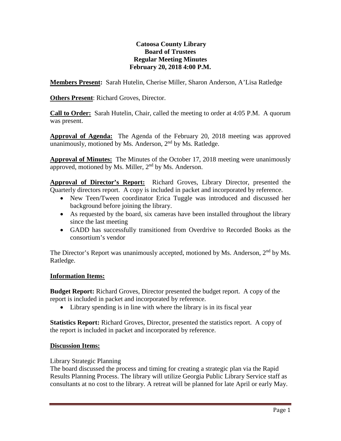# **Catoosa County Library Board of Trustees Regular Meeting Minutes February 20, 2018 4:00 P.M.**

**Members Present:** Sarah Hutelin, Cherise Miller, Sharon Anderson, A'Lisa Ratledge

**Others Present**: Richard Groves, Director.

**Call to Order:** Sarah Hutelin, Chair, called the meeting to order at 4:05 P.M. A quorum was present.

**Approval of Agenda:** The Agenda of the February 20, 2018 meeting was approved unanimously, motioned by Ms. Anderson,  $2<sup>nd</sup>$  by Ms. Ratledge.

**Approval of Minutes:** The Minutes of the October 17, 2018 meeting were unanimously approved, motioned by Ms. Miller, 2<sup>nd</sup> by Ms. Anderson.

**Approval of Director's Report:** Richard Groves, Library Director, presented the Quarterly directors report. A copy is included in packet and incorporated by reference.

- New Teen/Tween coordinator Erica Tuggle was introduced and discussed her background before joining the library.
- As requested by the board, six cameras have been installed throughout the library since the last meeting
- GADD has successfully transitioned from Overdrive to Recorded Books as the consortium's vendor

The Director's Report was unanimously accepted, motioned by Ms. Anderson, 2<sup>nd</sup> by Ms. Ratledge.

# **Information Items:**

**Budget Report:** Richard Groves, Director presented the budget report. A copy of the report is included in packet and incorporated by reference.

• Library spending is in line with where the library is in its fiscal year

**Statistics Report:** Richard Groves, Director, presented the statistics report. A copy of the report is included in packet and incorporated by reference.

# **Discussion Items:**

Library Strategic Planning

The board discussed the process and timing for creating a strategic plan via the Rapid Results Planning Process. The library will utilize Georgia Public Library Service staff as consultants at no cost to the library. A retreat will be planned for late April or early May.